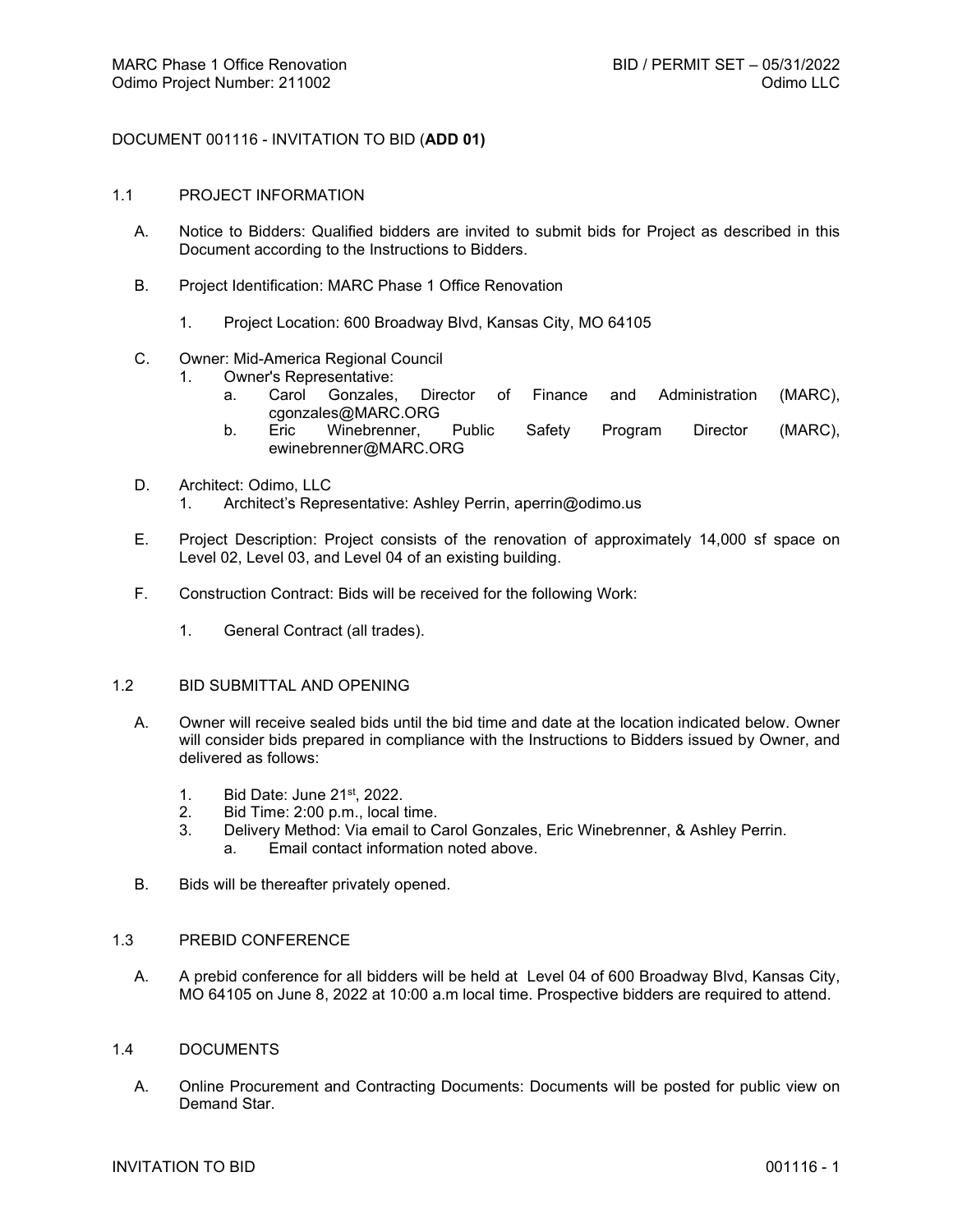# DOCUMENT 001116 - INVITATION TO BID (**ADD 01)**

#### 1.1 PROJECT INFORMATION

- A. Notice to Bidders: Qualified bidders are invited to submit bids for Project as described in this Document according to the Instructions to Bidders.
- B. Project Identification: MARC Phase 1 Office Renovation
	- 1. Project Location: 600 Broadway Blvd, Kansas City, MO 64105
- C. Owner: Mid-America Regional Council
	- 1. Owner's Representative:
		- a. Carol Gonzales, Director of Finance and Administration (MARC), cgonzales@MARC.ORG
		- b. Eric Winebrenner, Public Safety Program Director (MARC), ewinebrenner@MARC.ORG
- D. Architect: Odimo, LLC
	- 1. Architect's Representative: Ashley Perrin, aperrin@odimo.us
- E. Project Description: Project consists of the renovation of approximately 14,000 sf space on Level 02, Level 03, and Level 04 of an existing building.
- F. Construction Contract: Bids will be received for the following Work:
	- 1. General Contract (all trades).

# 1.2 BID SUBMITTAL AND OPENING

- A. Owner will receive sealed bids until the bid time and date at the location indicated below. Owner will consider bids prepared in compliance with the Instructions to Bidders issued by Owner, and delivered as follows:
	- 1. Bid Date: June 21st, 2022.
	- 2. Bid Time: 2:00 p.m., local time.<br>3. Delivery Method: Via email to C
	- Delivery Method: Via email to Carol Gonzales, Eric Winebrenner, & Ashley Perrin.
		- a. Email contact information noted above.
- B. Bids will be thereafter privately opened.

#### 1.3 PREBID CONFERENCE

A. A prebid conference for all bidders will be held at Level 04 of 600 Broadway Blvd, Kansas City, MO 64105 on June 8, 2022 at 10:00 a.m local time. Prospective bidders are required to attend.

## 1.4 DOCUMENTS

A. Online Procurement and Contracting Documents: Documents will be posted for public view on Demand Star.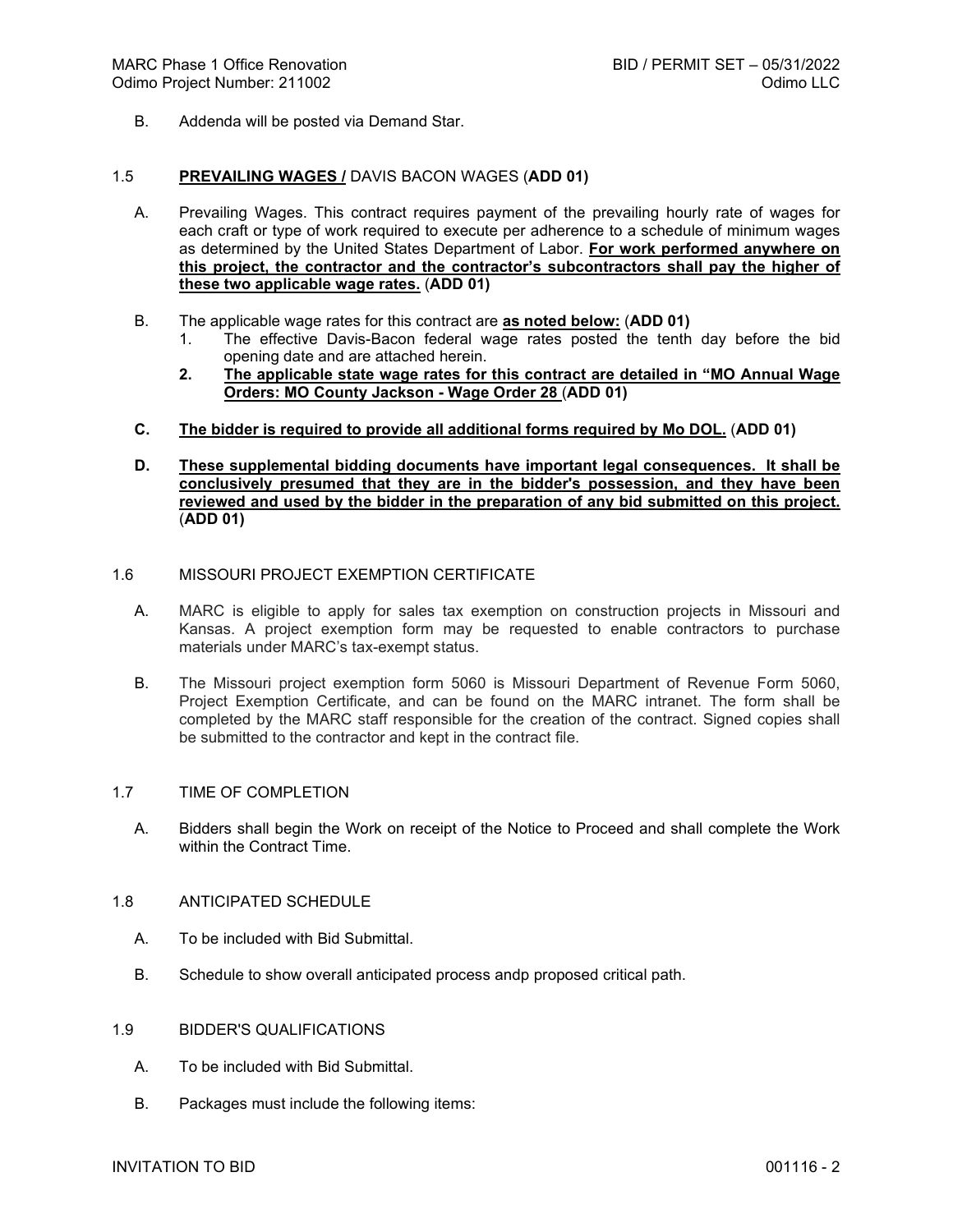B. Addenda will be posted via Demand Star.

## 1.5 **PREVAILING WAGES /** DAVIS BACON WAGES (**ADD 01)**

- A. Prevailing Wages. This contract requires payment of the prevailing hourly rate of wages for each craft or type of work required to execute per adherence to a schedule of minimum wages as determined by the United States Department of Labor. **For work performed anywhere on this project, the contractor and the contractor's subcontractors shall pay the higher of these two applicable wage rates.** (**ADD 01)**
- B. The applicable wage rates for this contract are **as noted below:** (**ADD 01)**
	- 1. The effective Davis-Bacon federal wage rates posted the tenth day before the bid opening date and are attached herein.
	- **2. The applicable state wage rates for this contract are detailed in "MO Annual Wage Orders: MO County Jackson - Wage Order 28** (**ADD 01)**
- **C. The bidder is required to provide all additional forms required by Mo DOL.** (**ADD 01)**

### **D. These supplemental bidding documents have important legal consequences. It shall be conclusively presumed that they are in the bidder's possession, and they have been reviewed and used by the bidder in the preparation of any bid submitted on this project.**  (**ADD 01)**

# 1.6 MISSOURI PROJECT EXEMPTION CERTIFICATE

- A. MARC is eligible to apply for sales tax exemption on construction projects in Missouri and Kansas. A project exemption form may be requested to enable contractors to purchase materials under MARC's tax-exempt status.
- B. The Missouri project exemption form 5060 is Missouri Department of Revenue Form 5060, Project Exemption Certificate, and can be found on the MARC intranet. The form shall be completed by the MARC staff responsible for the creation of the contract. Signed copies shall be submitted to the contractor and kept in the contract file.

## 1.7 TIME OF COMPLETION

A. Bidders shall begin the Work on receipt of the Notice to Proceed and shall complete the Work within the Contract Time.

# 1.8 ANTICIPATED SCHEDULE

- A. To be included with Bid Submittal.
- B. Schedule to show overall anticipated process andp proposed critical path.

#### 1.9 BIDDER'S QUALIFICATIONS

- A. To be included with Bid Submittal.
- B. Packages must include the following items: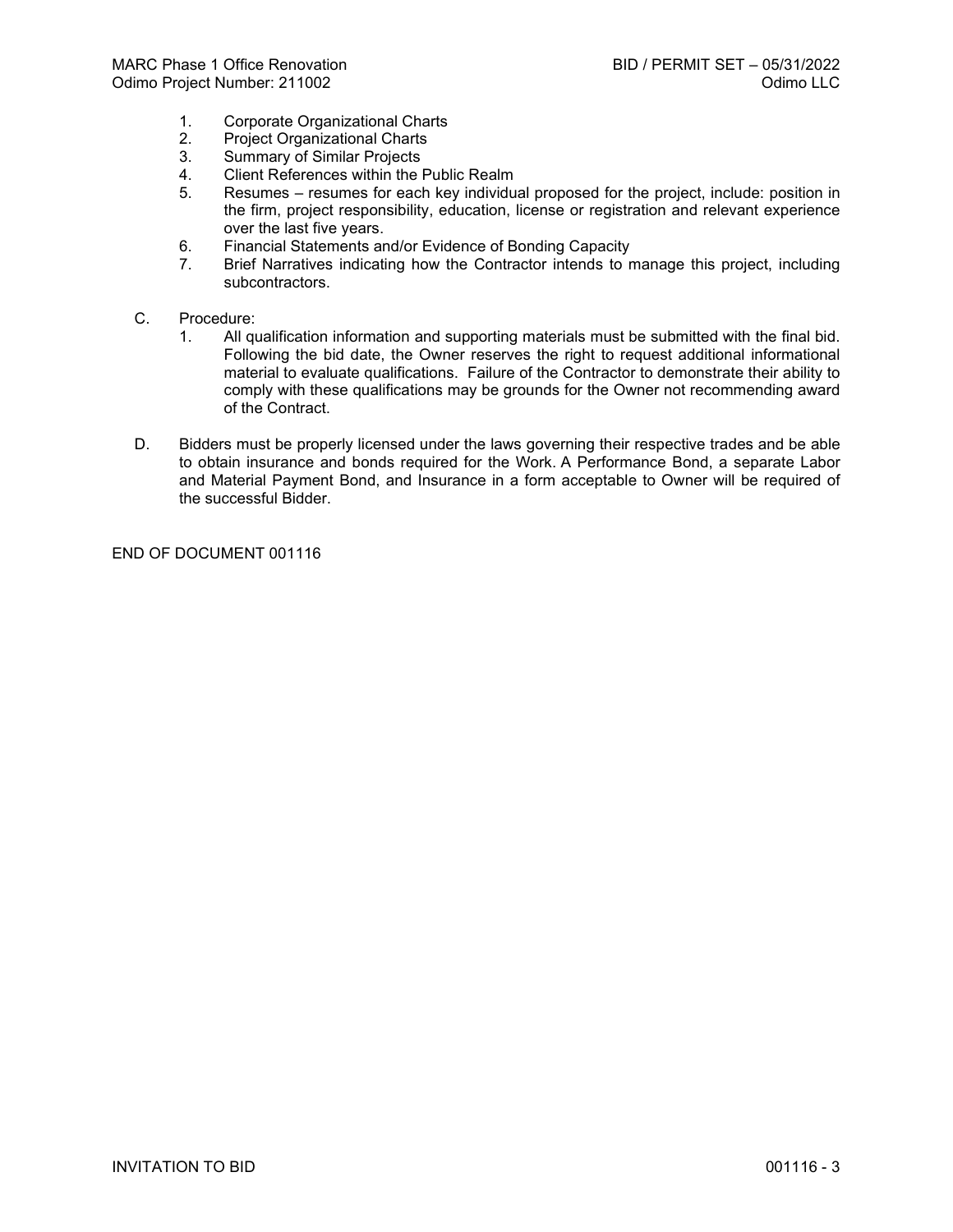- 1. Corporate Organizational Charts<br>2. Project Organizational Charts
- Project Organizational Charts
- 3. Summary of Similar Projects<br>4. Client References within the I
- 4. Client References within the Public Realm
- 5. Resumes resumes for each key individual proposed for the project, include: position in the firm, project responsibility, education, license or registration and relevant experience over the last five years.
- 6. Financial Statements and/or Evidence of Bonding Capacity
- 7. Brief Narratives indicating how the Contractor intends to manage this project, including subcontractors.
- C. Procedure:
	- 1. All qualification information and supporting materials must be submitted with the final bid. Following the bid date, the Owner reserves the right to request additional informational material to evaluate qualifications. Failure of the Contractor to demonstrate their ability to comply with these qualifications may be grounds for the Owner not recommending award of the Contract.
- D. Bidders must be properly licensed under the laws governing their respective trades and be able to obtain insurance and bonds required for the Work. A Performance Bond, a separate Labor and Material Payment Bond, and Insurance in a form acceptable to Owner will be required of the successful Bidder.

END OF DOCUMENT 001116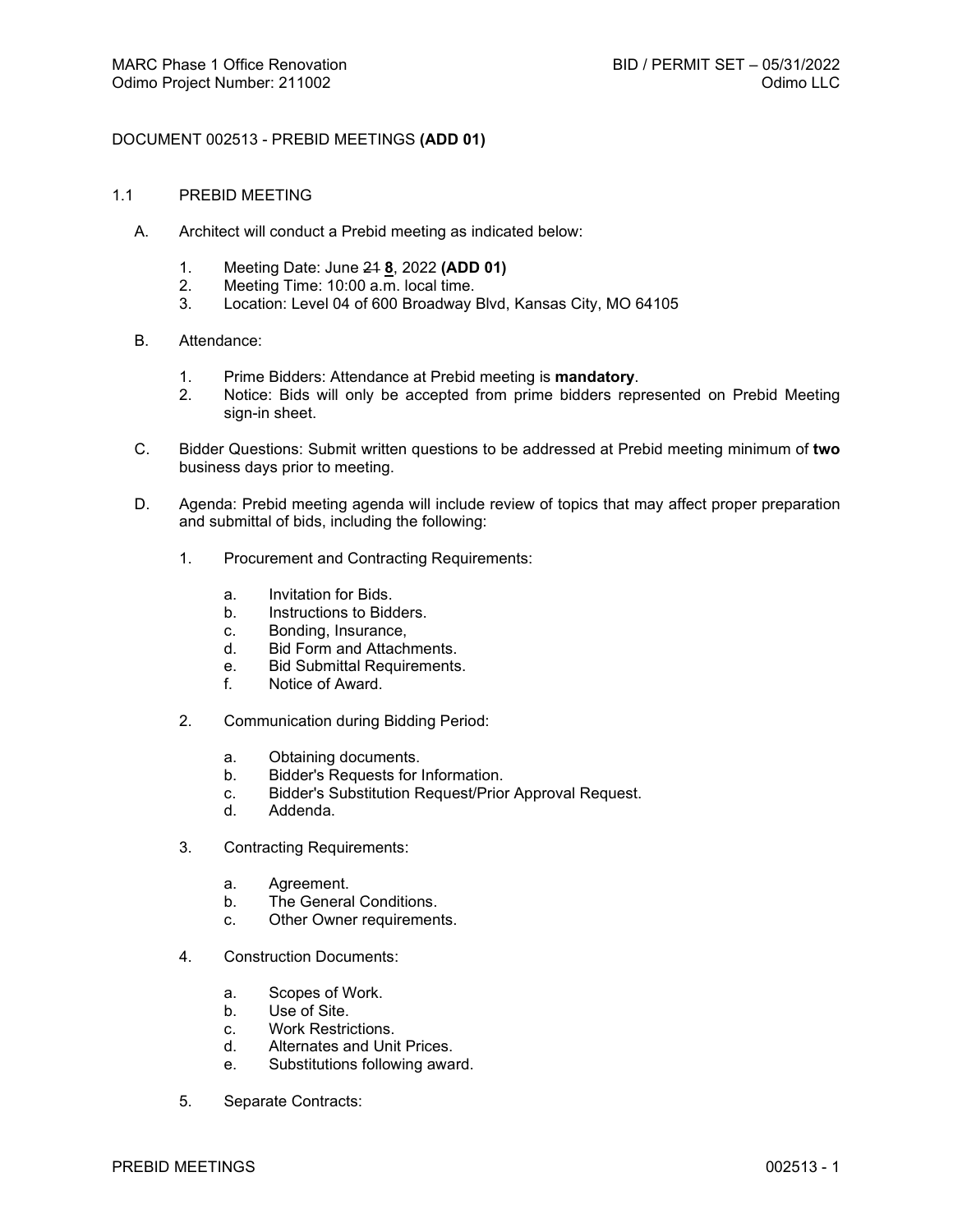# DOCUMENT 002513 - PREBID MEETINGS **(ADD 01)**

- 1.1 PREBID MEETING
	- A. Architect will conduct a Prebid meeting as indicated below:
		- 1. Meeting Date: June 21 **8**, 2022 **(ADD 01)**
		- 2. Meeting Time: 10:00 a.m. local time.<br>3. Location: Level 04 of 600 Broadway I
		- Location: Level 04 of 600 Broadway Blvd, Kansas City, MO 64105
	- B. Attendance:
		- 1. Prime Bidders: Attendance at Prebid meeting is **mandatory**.
		- 2. Notice: Bids will only be accepted from prime bidders represented on Prebid Meeting sign-in sheet.
	- C. Bidder Questions: Submit written questions to be addressed at Prebid meeting minimum of **two** business days prior to meeting.
	- D. Agenda: Prebid meeting agenda will include review of topics that may affect proper preparation and submittal of bids, including the following:
		- 1. Procurement and Contracting Requirements:
			- a. Invitation for Bids.
			- b. Instructions to Bidders.
			- c. Bonding, Insurance,
			- d. Bid Form and Attachments.
			- e. Bid Submittal Requirements.
			- f. Notice of Award.
		- 2. Communication during Bidding Period:
			- a. Obtaining documents.
			- b. Bidder's Requests for Information.
			- c. Bidder's Substitution Request/Prior Approval Request.
			- d. Addenda.
		- 3. Contracting Requirements:
			- a. Agreement.
			- b. The General Conditions.
			- c. Other Owner requirements.
		- 4. Construction Documents:
			- a. Scopes of Work.
			- b. Use of Site.<br>c. Work Restrict
			- Work Restrictions.
			- d. Alternates and Unit Prices.
			- e. Substitutions following award.
		- 5. Separate Contracts: